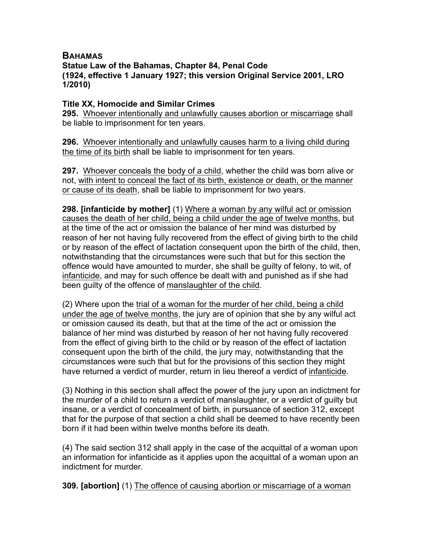## **BAHAMAS Statue Law of the Bahamas, Chapter 84, Penal Code (1924, effective 1 January 1927; this version Original Service 2001, LRO 1/2010)**

## **Title XX, Homocide and Similar Crimes**

**295.** Whoever intentionally and unlawfully causes abortion or miscarriage shall be liable to imprisonment for ten years.

**296.** Whoever intentionally and unlawfully causes harm to a living child during the time of its birth shall be liable to imprisonment for ten years.

**297.** Whoever conceals the body of a child, whether the child was born alive or not, with intent to conceal the fact of its birth, existence or death, or the manner or cause of its death, shall be liable to imprisonment for two years.

**298. [infanticide by mother]** (1) Where a woman by any wilful act or omission causes the death of her child, being a child under the age of twelve months, but at the time of the act or omission the balance of her mind was disturbed by reason of her not having fully recovered from the effect of giving birth to the child or by reason of the effect of lactation consequent upon the birth of the child, then, notwithstanding that the circumstances were such that but for this section the offence would have amounted to murder, she shall be guilty of felony, to wit, of infanticide, and may for such offence be dealt with and punished as if she had been guilty of the offence of manslaughter of the child.

(2) Where upon the trial of a woman for the murder of her child, being a child under the age of twelve months, the jury are of opinion that she by any wilful act or omission caused its death, but that at the time of the act or omission the balance of her mind was disturbed by reason of her not having fully recovered from the effect of giving birth to the child or by reason of the effect of lactation consequent upon the birth of the child, the jury may, notwithstanding that the circumstances were such that but for the provisions of this section they might have returned a verdict of murder, return in lieu thereof a verdict of infanticide.

(3) Nothing in this section shall affect the power of the jury upon an indictment for the murder of a child to return a verdict of manslaughter, or a verdict of guilty but insane, or a verdict of concealment of birth, in pursuance of section 312, except that for the purpose of that section a child shall be deemed to have recently been born if it had been within twelve months before its death.

(4) The said section 312 shall apply in the case of the acquittal of a woman upon an information for infanticide as it applies upon the acquittal of a woman upon an indictment for murder.

**309. [abortion]** (1) The offence of causing abortion or miscarriage of a woman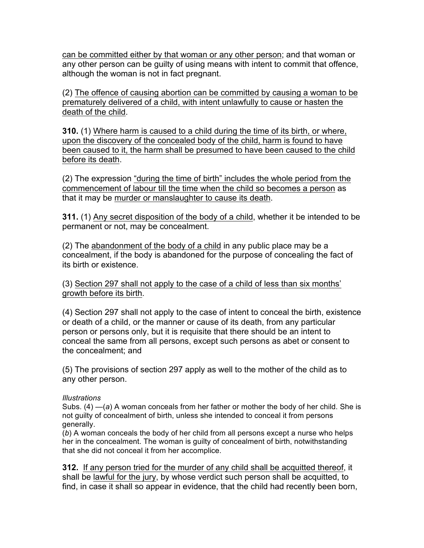can be committed either by that woman or any other person; and that woman or any other person can be guilty of using means with intent to commit that offence, although the woman is not in fact pregnant.

(2) The offence of causing abortion can be committed by causing a woman to be prematurely delivered of a child, with intent unlawfully to cause or hasten the death of the child.

**310.** (1) Where harm is caused to a child during the time of its birth, or where, upon the discovery of the concealed body of the child, harm is found to have been caused to it, the harm shall be presumed to have been caused to the child before its death.

(2) The expression "during the time of birth" includes the whole period from the commencement of labour till the time when the child so becomes a person as that it may be murder or manslaughter to cause its death.

**311.** (1) Any secret disposition of the body of a child, whether it be intended to be permanent or not, may be concealment.

(2) The abandonment of the body of a child in any public place may be a concealment, if the body is abandoned for the purpose of concealing the fact of its birth or existence.

(3) Section 297 shall not apply to the case of a child of less than six months' growth before its birth.

(4) Section 297 shall not apply to the case of intent to conceal the birth, existence or death of a child, or the manner or cause of its death, from any particular person or persons only, but it is requisite that there should be an intent to conceal the same from all persons, except such persons as abet or consent to the concealment; and

(5) The provisions of section 297 apply as well to the mother of the child as to any other person.

## *Illustrations*

Subs. (4) —(*a*) A woman conceals from her father or mother the body of her child. She is not guilty of concealment of birth, unless she intended to conceal it from persons generally.

(*b*) A woman conceals the body of her child from all persons except a nurse who helps her in the concealment. The woman is guilty of concealment of birth, notwithstanding that she did not conceal it from her accomplice.

**312.** If any person tried for the murder of any child shall be acquitted thereof, it shall be lawful for the jury, by whose verdict such person shall be acquitted, to find, in case it shall so appear in evidence, that the child had recently been born,